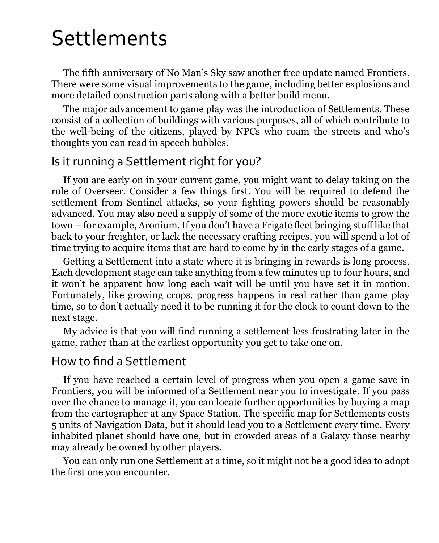# Settlements

The fifth anniversary of No Man's Sky saw another free update named Frontiers. There were some visual improvements to the game, including better explosions and more detailed construction parts along with a better build menu.

The major advancement to game play was the introduction of Settlements. These consist of a collection of buildings with various purposes, all of which contribute to the well-being of the citizens, played by NPCs who roam the streets and who's thoughts you can read in speech bubbles.

#### Is it running a Settlement right for you?

If you are early on in your current game, you might want to delay taking on the role of Overseer. Consider a few things first. You will be required to defend the settlement from Sentinel attacks, so your fighting powers should be reasonably advanced. You may also need a supply of some of the more exotic items to grow the town – for example, Aronium. If you don't have a Frigate fleet bringing stuff like that back to your freighter, or lack the necessary crafting recipes, you will spend a lot of time trying to acquire items that are hard to come by in the early stages of a game.

Getting a Settlement into a state where it is bringing in rewards is long process. Each development stage can take anything from a few minutes up to four hours, and it won't be apparent how long each wait will be until you have set it in motion. Fortunately, like growing crops, progress happens in real rather than game play time, so to don't actually need it to be running it for the clock to count down to the next stage.

My advice is that you will find running a settlement less frustrating later in the game, rather than at the earliest opportunity you get to take one on.

#### How to find a Settlement

If you have reached a certain level of progress when you open a game save in Frontiers, you will be informed of a Settlement near you to investigate. If you pass over the chance to manage it, you can locate further opportunities by buying a map from the cartographer at any Space Station. The specific map for Settlements costs 5 units of Navigation Data, but it should lead you to a Settlement every time. Every inhabited planet should have one, but in crowded areas of a Galaxy those nearby may already be owned by other players.

You can only run one Settlement at a time, so it might not be a good idea to adopt the first one you encounter.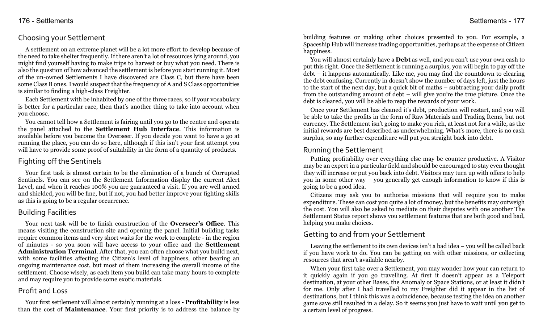## Choosing your Settlement

A settlement on an extreme planet will be a lot more effort to develop because of the need to take shelter frequently. If there aren't a lot of resources lying around, you might find yourself having to make trips to harvest or buy what you need. There is also the question of how advanced the settlement is before you start running it. Most of the un-owned Settlements I have discovered are Class C, but there have been some Class B ones. I would suspect that the frequency of A and S Class opportunities is similar to finding a high-class Freighter.

Each Settlement with be inhabited by one of the three races, so if your vocabulary is better for a particular race, then that's another thing to take into account when you choose.

You cannot tell how a Settlement is fairing until you go to the centre and operate the panel attached to the **Settlement Hub Interface**. This information is available before you become the Overseer. If you decide you want to have a go at running the place, you can do so here, although if this isn't your first attempt you will have to provide some proof of suitability in the form of a quantity of products.

## Fighting off the Sentinels

Your first task is almost certain to be the elimination of a bunch of Corrupted Sentinels. You can see on the Settlement Information display the current Alert Level, and when it reaches 100% you are guaranteed a visit. If you are well armed and shielded, you will be fine, but if not, you had better improve your fighting skills as this is going to be a regular occurrence.

## Building Facilities

Your next task will be to finish construction of the **Overseer's Office**. This means visiting the construction site and opening the panel. Initial building tasks require common items and very short waits for the work to complete - in the region of minutes - so you soon will have access to your office and the **Settlement Administration Terminal**. After that, you can often choose what you build next, with some facilities affecting the Citizen's level of happiness, other bearing an ongoing maintenance cost, but most of them increasing the overall income of the settlement. Choose wisely, as each item you build can take many hours to complete and may require you to provide some exotic materials.

## Profit and Loss

Your first settlement will almost certainly running at a loss - **Profitability** is less than the cost of **Maintenance**. Your first priority is to address the balance by building features or making other choices presented to you. For example, a Spaceship Hub will increase trading opportunities, perhaps at the expense of Citizen happiness.

You will almost certainly have a **Debt** as well, and you can't use your own cash to put this right. Once the Settlement is running a surplus, you will begin to pay off the debt – it happens automatically. Like me, you may find the countdown to clearing the debt confusing. Currently in doesn't show the number of days left, just the hours to the start of the next day, but a quick bit of maths – subtracting your daily profit from the outstanding amount of debt – will give you're the true picture. Once the debt is cleared, you will be able to reap the rewards of your work.

Once your Settlement has cleaned it's debt, production will restart, and you will be able to take the profits in the form of Raw Materials and Trading Items, but not currency. The Settlement isn't going to make you rich, at least not for a while, as the initial rewards are best described as underwhelming. What's more, there is no cash surplus, so any further expenditure will put you straight back into debt.

## Running the Settlement

Putting profitability over everything else may be counter productive. A Visitor may be an expert in a particular field and should be encouraged to stay even thought they will increase or put you back into debt. Visitors may turn up with offers to help you in some other way – you generally get enough information to know if this is going to be a good idea.

Citizens may ask you to authorise missions that will require you to make expenditure. These can cost you quite a lot of money, but the benefits may outweigh the cost. You will also be asked to mediate on their disputes with one another The Settlement Status report shows you settlement features that are both good and bad, helping you make choices.

## Getting to and from your Settlement

Leaving the settlement to its own devices isn't a bad idea – you will be called back if you have work to do. You can be getting on with other missions, or collecting resources that aren't available nearby.

When your first take over a Settlement, you may wonder how your can return to it quickly again if you go travelling. At first it doesn't appear as a Teleport destination, at your other Bases, the Anomaly or Space Stations, or at least it didn't for me. Only after I had travelled to my Freighter did it appear in the list of destinations, but I think this was a coincidence, because testing the idea on another game save still resulted in a delay. So it seems you just have to wait until you get to a certain level of progress.